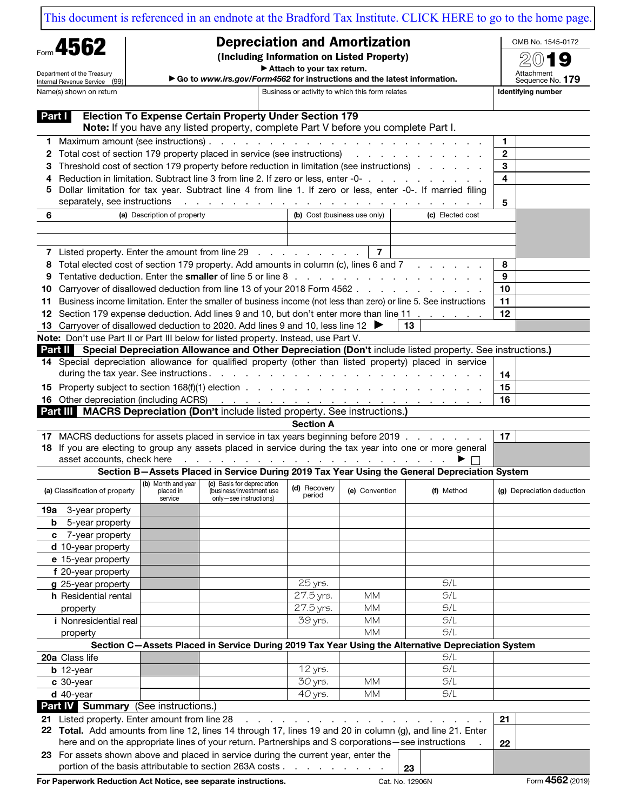[This document is referenced in an endnote at the Bradford Tax Institute. CLICK HERE to go to the home page.](https://www.bradfordtaxinstitute.com)

| Form 4562                                                                                     |                                                                                                                                                                                                           | <b>Depreciation and Amortization</b><br>(Including Information on Listed Property) |                                                                                                       |                        |                              |                                                                                                                  | OMB No. 1545-0172          |  |
|-----------------------------------------------------------------------------------------------|-----------------------------------------------------------------------------------------------------------------------------------------------------------------------------------------------------------|------------------------------------------------------------------------------------|-------------------------------------------------------------------------------------------------------|------------------------|------------------------------|------------------------------------------------------------------------------------------------------------------|----------------------------|--|
|                                                                                               |                                                                                                                                                                                                           |                                                                                    |                                                                                                       |                        |                              |                                                                                                                  |                            |  |
|                                                                                               | Department of the Treasury                                                                                                                                                                                | Attach to your tax return.                                                         |                                                                                                       |                        |                              |                                                                                                                  | Attachment                 |  |
|                                                                                               | Internal Revenue Service (99)                                                                                                                                                                             |                                                                                    | Go to www.irs.gov/Form4562 for instructions and the latest information.                               |                        |                              |                                                                                                                  | Sequence No. 179           |  |
| Business or activity to which this form relates<br>Name(s) shown on return                    |                                                                                                                                                                                                           |                                                                                    |                                                                                                       |                        |                              |                                                                                                                  | Identifying number         |  |
| Part I                                                                                        |                                                                                                                                                                                                           |                                                                                    | <b>Election To Expense Certain Property Under Section 179</b>                                         |                        |                              |                                                                                                                  |                            |  |
|                                                                                               |                                                                                                                                                                                                           |                                                                                    | Note: If you have any listed property, complete Part V before you complete Part I.                    |                        |                              |                                                                                                                  |                            |  |
|                                                                                               |                                                                                                                                                                                                           |                                                                                    |                                                                                                       |                        |                              |                                                                                                                  | 1                          |  |
| 2                                                                                             | Total cost of section 179 property placed in service (see instructions) respectively. The section of section 179 property placed in service (see instructions)                                            |                                                                                    |                                                                                                       |                        |                              |                                                                                                                  | $\mathbf{2}$               |  |
| 3                                                                                             | Threshold cost of section 179 property before reduction in limitation (see instructions)                                                                                                                  | 3                                                                                  |                                                                                                       |                        |                              |                                                                                                                  |                            |  |
| 4                                                                                             |                                                                                                                                                                                                           |                                                                                    | Reduction in limitation. Subtract line 3 from line 2. If zero or less, enter -0-                      |                        |                              |                                                                                                                  | 4                          |  |
| 5                                                                                             |                                                                                                                                                                                                           |                                                                                    |                                                                                                       |                        |                              | Dollar limitation for tax year. Subtract line 4 from line 1. If zero or less, enter -0-. If married filing       |                            |  |
|                                                                                               | separately, see instructions<br>ومناوره والمستقيل والمستقيلة المناورة والمناور والمستقيلة المناورة والمناور والمستقيلة المناورة                                                                           |                                                                                    |                                                                                                       |                        |                              |                                                                                                                  | 5                          |  |
| 6                                                                                             |                                                                                                                                                                                                           | (a) Description of property                                                        |                                                                                                       |                        | (b) Cost (business use only) | (c) Elected cost                                                                                                 |                            |  |
|                                                                                               |                                                                                                                                                                                                           |                                                                                    |                                                                                                       |                        |                              |                                                                                                                  |                            |  |
|                                                                                               |                                                                                                                                                                                                           |                                                                                    |                                                                                                       |                        |                              |                                                                                                                  |                            |  |
|                                                                                               |                                                                                                                                                                                                           |                                                                                    | 7 Listed property. Enter the amount from line 29                                                      |                        | $\overline{7}$               |                                                                                                                  |                            |  |
|                                                                                               |                                                                                                                                                                                                           |                                                                                    | 8 Total elected cost of section 179 property. Add amounts in column (c), lines 6 and 7                |                        |                              |                                                                                                                  | 8                          |  |
| 9                                                                                             |                                                                                                                                                                                                           |                                                                                    |                                                                                                       |                        |                              |                                                                                                                  | 9<br>10                    |  |
| 10.                                                                                           | Carryover of disallowed deduction from line 13 of your 2018 Form 4562                                                                                                                                     |                                                                                    |                                                                                                       |                        |                              |                                                                                                                  |                            |  |
| 11                                                                                            | Business income limitation. Enter the smaller of business income (not less than zero) or line 5. See instructions<br>Section 179 expense deduction. Add lines 9 and 10, but don't enter more than line 11 |                                                                                    |                                                                                                       |                        |                              |                                                                                                                  |                            |  |
| 12<br>13                                                                                      |                                                                                                                                                                                                           |                                                                                    | Carryover of disallowed deduction to 2020. Add lines 9 and 10, less line 12 ▶                         |                        |                              | 13                                                                                                               | 12                         |  |
|                                                                                               |                                                                                                                                                                                                           |                                                                                    | Note: Don't use Part II or Part III below for listed property. Instead, use Part V.                   |                        |                              |                                                                                                                  |                            |  |
|                                                                                               |                                                                                                                                                                                                           |                                                                                    |                                                                                                       |                        |                              | Part II Special Depreciation Allowance and Other Depreciation (Don't include listed property. See instructions.) |                            |  |
|                                                                                               |                                                                                                                                                                                                           |                                                                                    |                                                                                                       |                        |                              | 14 Special depreciation allowance for qualified property (other than listed property) placed in service          |                            |  |
|                                                                                               |                                                                                                                                                                                                           |                                                                                    |                                                                                                       |                        |                              |                                                                                                                  | 14                         |  |
|                                                                                               |                                                                                                                                                                                                           |                                                                                    |                                                                                                       |                        |                              |                                                                                                                  | 15                         |  |
|                                                                                               |                                                                                                                                                                                                           |                                                                                    |                                                                                                       |                        |                              |                                                                                                                  | 16                         |  |
| Part III MACRS Depreciation (Don't include listed property. See instructions.)                |                                                                                                                                                                                                           |                                                                                    |                                                                                                       |                        |                              |                                                                                                                  |                            |  |
|                                                                                               |                                                                                                                                                                                                           |                                                                                    |                                                                                                       | <b>Section A</b>       |                              |                                                                                                                  |                            |  |
|                                                                                               | 17 MACRS deductions for assets placed in service in tax years beginning before 2019                                                                                                                       |                                                                                    |                                                                                                       |                        |                              |                                                                                                                  | 17                         |  |
|                                                                                               | 18 If you are electing to group any assets placed in service during the tax year into one or more general                                                                                                 |                                                                                    |                                                                                                       |                        |                              |                                                                                                                  |                            |  |
|                                                                                               | asset accounts, check here<br>والمتعاون والمتعاون والمتعاونة والمتعاونة والمتعاونة والمتعاونة والمتعاونة<br>▸                                                                                             |                                                                                    |                                                                                                       |                        |                              |                                                                                                                  |                            |  |
| Section B-Assets Placed in Service During 2019 Tax Year Using the General Depreciation System |                                                                                                                                                                                                           |                                                                                    |                                                                                                       |                        |                              |                                                                                                                  |                            |  |
|                                                                                               | (a) Classification of property                                                                                                                                                                            | placed in<br>service                                                               | (b) Month and year   (c) Basis for depreciation<br>(business/investment use<br>only-see instructions) | (d) Recovery<br>period | (e) Convention               | (f) Method                                                                                                       | (g) Depreciation deduction |  |
| 19a                                                                                           | 3-year property                                                                                                                                                                                           |                                                                                    |                                                                                                       |                        |                              |                                                                                                                  |                            |  |
| b                                                                                             | 5-year property                                                                                                                                                                                           |                                                                                    |                                                                                                       |                        |                              |                                                                                                                  |                            |  |
| C                                                                                             | 7-year property                                                                                                                                                                                           |                                                                                    |                                                                                                       |                        |                              |                                                                                                                  |                            |  |
|                                                                                               | d 10-year property                                                                                                                                                                                        |                                                                                    |                                                                                                       |                        |                              |                                                                                                                  |                            |  |
|                                                                                               | e 15-year property                                                                                                                                                                                        |                                                                                    |                                                                                                       |                        |                              |                                                                                                                  |                            |  |
|                                                                                               | f 20-year property                                                                                                                                                                                        |                                                                                    |                                                                                                       |                        |                              |                                                                                                                  |                            |  |
|                                                                                               | g 25-year property                                                                                                                                                                                        |                                                                                    |                                                                                                       | 25 yrs.                |                              | S/L                                                                                                              |                            |  |
|                                                                                               | h Residential rental                                                                                                                                                                                      |                                                                                    |                                                                                                       | 27.5 yrs.              | MM                           | S/L                                                                                                              |                            |  |
|                                                                                               | property                                                                                                                                                                                                  |                                                                                    |                                                                                                       | 27.5 yrs.              | <b>MM</b>                    | S/L                                                                                                              |                            |  |
|                                                                                               | <i>i</i> Nonresidential real                                                                                                                                                                              |                                                                                    |                                                                                                       | 39 yrs.                | <b>MM</b><br><b>MM</b>       | S/L<br>S/L                                                                                                       |                            |  |
|                                                                                               | property                                                                                                                                                                                                  |                                                                                    |                                                                                                       |                        |                              | Section C-Assets Placed in Service During 2019 Tax Year Using the Alternative Depreciation System                |                            |  |
|                                                                                               | 20a Class life                                                                                                                                                                                            |                                                                                    |                                                                                                       |                        |                              | S/L                                                                                                              |                            |  |
|                                                                                               | $b$ 12-year                                                                                                                                                                                               |                                                                                    |                                                                                                       | 12 yrs.                |                              | S/L                                                                                                              |                            |  |
|                                                                                               | c 30-year                                                                                                                                                                                                 |                                                                                    |                                                                                                       | 30 yrs.                | MM                           | S/L                                                                                                              |                            |  |
|                                                                                               | $d$ 40-year                                                                                                                                                                                               |                                                                                    |                                                                                                       | 40 yrs.                | MM                           | S/L                                                                                                              |                            |  |
|                                                                                               | Part IV Summary (See instructions.)                                                                                                                                                                       |                                                                                    |                                                                                                       |                        |                              |                                                                                                                  |                            |  |
|                                                                                               | 21 Listed property. Enter amount from line 28                                                                                                                                                             |                                                                                    |                                                                                                       |                        |                              |                                                                                                                  | 21                         |  |
|                                                                                               | 22 Total. Add amounts from line 12, lines 14 through 17, lines 19 and 20 in column (g), and line 21. Enter                                                                                                |                                                                                    |                                                                                                       |                        |                              |                                                                                                                  |                            |  |
|                                                                                               |                                                                                                                                                                                                           |                                                                                    | here and on the appropriate lines of your return. Partnerships and S corporations-see instructions    |                        |                              |                                                                                                                  | 22                         |  |
| 23                                                                                            |                                                                                                                                                                                                           |                                                                                    | For assets shown above and placed in service during the current year, enter the                       |                        |                              |                                                                                                                  |                            |  |
|                                                                                               |                                                                                                                                                                                                           |                                                                                    | portion of the basis attributable to section 263A costs                                               |                        |                              | 23                                                                                                               |                            |  |